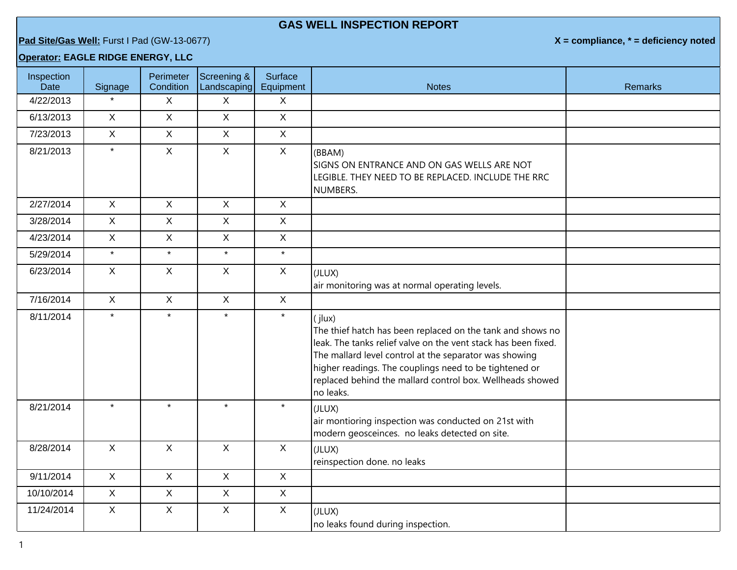## **GAS WELL INSPECTION REPORT**

**Pad Site/Gas Well:** Furst I Pad (GW-13-0677) **X = compliance, \* = deficiency noted**

## **Operator: EAGLE RIDGE ENERGY, LLC**

| Inspection<br>Date | Signage      | Perimeter<br>Condition | Screening &<br>Landscaping | Surface<br>Equipment      | <b>Notes</b>                                                                                                                                                                                                                                                                                                                         | <b>Remarks</b> |
|--------------------|--------------|------------------------|----------------------------|---------------------------|--------------------------------------------------------------------------------------------------------------------------------------------------------------------------------------------------------------------------------------------------------------------------------------------------------------------------------------|----------------|
| 4/22/2013          |              | X                      | $\sf X$                    | $\boldsymbol{\mathsf{X}}$ |                                                                                                                                                                                                                                                                                                                                      |                |
| 6/13/2013          | $\mathsf{X}$ | $\mathsf{X}$           | $\mathsf{X}$               | $\mathsf{X}$              |                                                                                                                                                                                                                                                                                                                                      |                |
| 7/23/2013          | $\mathsf{X}$ | $\mathsf{X}$           | $\mathsf{X}$               | $\mathsf{X}$              |                                                                                                                                                                                                                                                                                                                                      |                |
| 8/21/2013          | $\star$      | $\mathsf{X}$           | $\mathsf{X}$               | $\sf X$                   | (BBAM)<br>SIGNS ON ENTRANCE AND ON GAS WELLS ARE NOT<br>LEGIBLE. THEY NEED TO BE REPLACED. INCLUDE THE RRC<br>NUMBERS.                                                                                                                                                                                                               |                |
| 2/27/2014          | $\mathsf{X}$ | $\mathsf{X}$           | $\mathsf{X}$               | $\sf X$                   |                                                                                                                                                                                                                                                                                                                                      |                |
| 3/28/2014          | $\mathsf{X}$ | $\mathsf{X}$           | $\mathsf{X}$               | $\mathsf{X}$              |                                                                                                                                                                                                                                                                                                                                      |                |
| 4/23/2014          | $\mathsf{X}$ | $\mathsf{X}$           | $\mathsf X$                | $\mathsf X$               |                                                                                                                                                                                                                                                                                                                                      |                |
| 5/29/2014          | $\star$      | $\star$                | $\star$                    | $\star$                   |                                                                                                                                                                                                                                                                                                                                      |                |
| 6/23/2014          | $\mathsf{X}$ | $\mathsf{X}$           | $\mathsf{X}$               | $\mathsf{X}$              | (JLUX)<br>air monitoring was at normal operating levels.                                                                                                                                                                                                                                                                             |                |
| 7/16/2014          | $\mathsf{X}$ | $\mathsf{X}$           | $\mathsf{X}$               | $\mathsf{X}$              |                                                                                                                                                                                                                                                                                                                                      |                |
| 8/11/2014          | $\star$      | $\star$                | $\star$                    | $\star$                   | (jlux)<br>The thief hatch has been replaced on the tank and shows no<br>leak. The tanks relief valve on the vent stack has been fixed.<br>The mallard level control at the separator was showing<br>higher readings. The couplings need to be tightened or<br>replaced behind the mallard control box. Wellheads showed<br>no leaks. |                |
| 8/21/2014          | $\star$      | $\star$                | $\star$                    | $\star$                   | (JLUX)<br>air montioring inspection was conducted on 21st with<br>modern geosceinces. no leaks detected on site.                                                                                                                                                                                                                     |                |
| 8/28/2014          | $\mathsf{X}$ | $\mathsf{X}$           | $\mathsf{X}$               | $\sf X$                   | (JLUX)<br>reinspection done. no leaks                                                                                                                                                                                                                                                                                                |                |
| 9/11/2014          | $\mathsf{X}$ | $\mathsf{X}$           | $\mathsf{X}$               | $\mathsf{X}$              |                                                                                                                                                                                                                                                                                                                                      |                |
| 10/10/2014         | $\mathsf{X}$ | $\mathsf{X}$           | $\mathsf{X}$               | $\sf X$                   |                                                                                                                                                                                                                                                                                                                                      |                |
| 11/24/2014         | $\mathsf{X}$ | $\mathsf{X}$           | $\mathsf X$                | $\sf X$                   | (JLUX)<br>no leaks found during inspection.                                                                                                                                                                                                                                                                                          |                |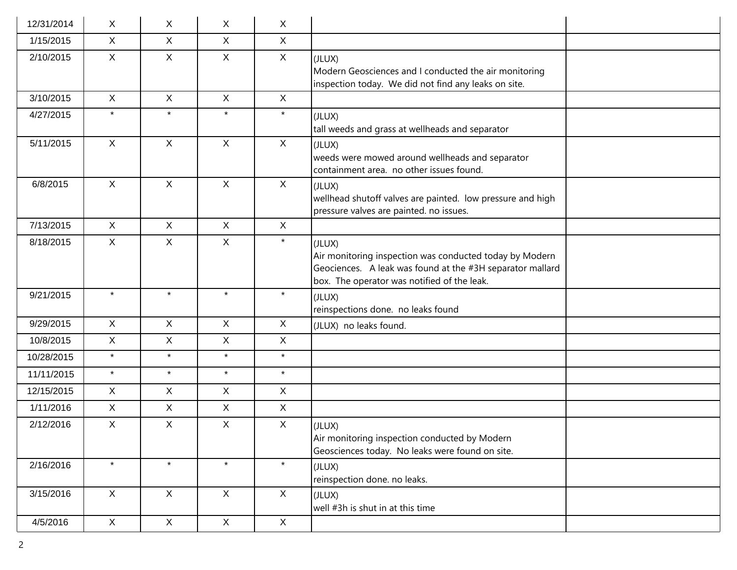| 12/31/2014 | X            | X.           | $\mathsf{X}$ | $\sf X$          |                                                                                                                                                                               |
|------------|--------------|--------------|--------------|------------------|-------------------------------------------------------------------------------------------------------------------------------------------------------------------------------|
| 1/15/2015  | $\mathsf{X}$ | $\mathsf{X}$ | $\mathsf{X}$ | $\mathsf{X}$     |                                                                                                                                                                               |
| 2/10/2015  | $\mathsf{X}$ | $\mathsf{X}$ | $\mathsf X$  | $\mathsf{X}$     | (JLUX)<br>Modern Geosciences and I conducted the air monitoring<br>inspection today. We did not find any leaks on site.                                                       |
| 3/10/2015  | $\mathsf{X}$ | $\mathsf{X}$ | $\mathsf{X}$ | X                |                                                                                                                                                                               |
| 4/27/2015  | $\star$      | $\star$      | $\star$      | $\star$          | (JLUX)<br>tall weeds and grass at wellheads and separator                                                                                                                     |
| 5/11/2015  | $\mathsf{X}$ | $\mathsf{X}$ | $\mathsf X$  | $\mathsf{X}$     | (JLUX)<br>weeds were mowed around wellheads and separator<br>containment area. no other issues found.                                                                         |
| 6/8/2015   | $\mathsf{X}$ | $\mathsf{X}$ | $\mathsf{X}$ | $\mathsf{X}$     | (JLUX)<br>wellhead shutoff valves are painted. low pressure and high<br>pressure valves are painted. no issues.                                                               |
| 7/13/2015  | $\mathsf{X}$ | $\mathsf{X}$ | $\mathsf{X}$ | $\mathsf{X}$     |                                                                                                                                                                               |
| 8/18/2015  | $\mathsf{X}$ | $\mathsf{X}$ | $\mathsf{X}$ | $\star$          | (JLUX)<br>Air monitoring inspection was conducted today by Modern<br>Geociences. A leak was found at the #3H separator mallard<br>box. The operator was notified of the leak. |
| 9/21/2015  | $\star$      | $\star$      | $\star$      | $\star$          | (JLUX)<br>reinspections done. no leaks found                                                                                                                                  |
| 9/29/2015  | $\mathsf{X}$ | $\mathsf{X}$ | $\mathsf{X}$ | $\mathsf{X}$     | (JLUX) no leaks found.                                                                                                                                                        |
| 10/8/2015  | $\mathsf{X}$ | X            | $\mathsf{X}$ | $\mathsf{X}$     |                                                                                                                                                                               |
| 10/28/2015 | $\star$      | $\star$      | $\star$      | $\star$          |                                                                                                                                                                               |
| 11/11/2015 | $\star$      | $\star$      | $\star$      | $\star$          |                                                                                                                                                                               |
| 12/15/2015 | $\mathsf{X}$ | $\mathsf{X}$ | $\mathsf X$  | $\mathsf{X}$     |                                                                                                                                                                               |
| 1/11/2016  | $\mathsf{X}$ | $\mathsf{X}$ | $\mathsf{X}$ | $\mathsf{X}$     |                                                                                                                                                                               |
| 2/12/2016  | $\mathsf{X}$ | X            | $\mathsf{X}$ | $\boldsymbol{X}$ | (JLUX)<br>Air monitoring inspection conducted by Modern<br>Geosciences today. No leaks were found on site.                                                                    |
| 2/16/2016  | $\star$      | $\star$      | $\star$      | $\star$          | (JLUX)<br>reinspection done. no leaks.                                                                                                                                        |
| 3/15/2016  | $\mathsf{X}$ | $\mathsf X$  | $\mathsf{X}$ | $\mathsf{X}$     | (JLUX)<br>well #3h is shut in at this time                                                                                                                                    |
| 4/5/2016   | $\mathsf X$  | $\mathsf X$  | $\mathsf X$  | $\mathsf{X}$     |                                                                                                                                                                               |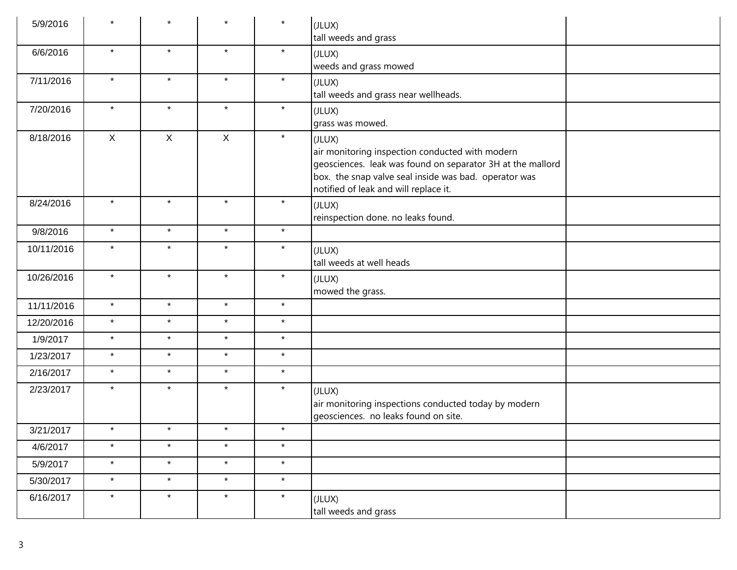| 5/9/2016   | $\star$ | $\star$      | $\star$      | $\star$  | (JLUX)<br>tall weeds and grass                                                                                                                                                                                            |
|------------|---------|--------------|--------------|----------|---------------------------------------------------------------------------------------------------------------------------------------------------------------------------------------------------------------------------|
| 6/6/2016   | $\star$ | $\star$      | $\star$      | $\star$  | (JLUX)<br>weeds and grass mowed                                                                                                                                                                                           |
| 7/11/2016  | $\star$ | $\star$      | $\star$      | $\star$  | (JLUX)<br>tall weeds and grass near wellheads.                                                                                                                                                                            |
| 7/20/2016  | $\star$ | $\star$      | $\star$      | $\star$  | (JLUX)<br>grass was mowed.                                                                                                                                                                                                |
| 8/18/2016  | X       | $\mathsf{X}$ | $\mathsf{X}$ | $\star$  | (JLUX)<br>air monitoring inspection conducted with modern<br>geosciences. leak was found on separator 3H at the mallord<br>box. the snap valve seal inside was bad. operator was<br>notified of leak and will replace it. |
| 8/24/2016  | $\star$ | $\star$      | $\star$      | $\star$  | (JLUX)<br>reinspection done. no leaks found.                                                                                                                                                                              |
| 9/8/2016   | $\star$ | $\star$      | $\star$      | $\star$  |                                                                                                                                                                                                                           |
| 10/11/2016 | $\star$ | $\star$      | $\star$      | $\star$  | (JLUX)<br>tall weeds at well heads                                                                                                                                                                                        |
| 10/26/2016 | $\star$ | $\star$      | $\star$      | $\star$  | (JLUX)<br>mowed the grass.                                                                                                                                                                                                |
| 11/11/2016 | $\star$ | $\star$      | $\star$      | $\star$  |                                                                                                                                                                                                                           |
| 12/20/2016 | $\star$ | $\star$      | $\star$      | $\star$  |                                                                                                                                                                                                                           |
| 1/9/2017   | $\star$ | $\star$      | $\star$      | $\star$  |                                                                                                                                                                                                                           |
| 1/23/2017  | $\star$ | $\star$      | $\star$      | $\star$  |                                                                                                                                                                                                                           |
| 2/16/2017  | $\star$ | $\star$      | $\star$      | $\star$  |                                                                                                                                                                                                                           |
| 2/23/2017  | $\star$ | $\star$      | $\star$      | $\star$  | (JLUX)<br>air monitoring inspections conducted today by modern<br>geosciences. no leaks found on site.                                                                                                                    |
| 3/21/2017  | $\star$ | $\star$      | $\star$      | $\star$  |                                                                                                                                                                                                                           |
| 4/6/2017   | $\star$ | $\star$      | $\star$      | $\star$  |                                                                                                                                                                                                                           |
| 5/9/2017   | $\star$ | $\star$      | $\star$      | $\star$  |                                                                                                                                                                                                                           |
| 5/30/2017  | $\star$ | $\star$      | $\star$      | $^\star$ |                                                                                                                                                                                                                           |
| 6/16/2017  | $\star$ | $\star$      | $\star$      | $\star$  | (JLUX)<br>tall weeds and grass                                                                                                                                                                                            |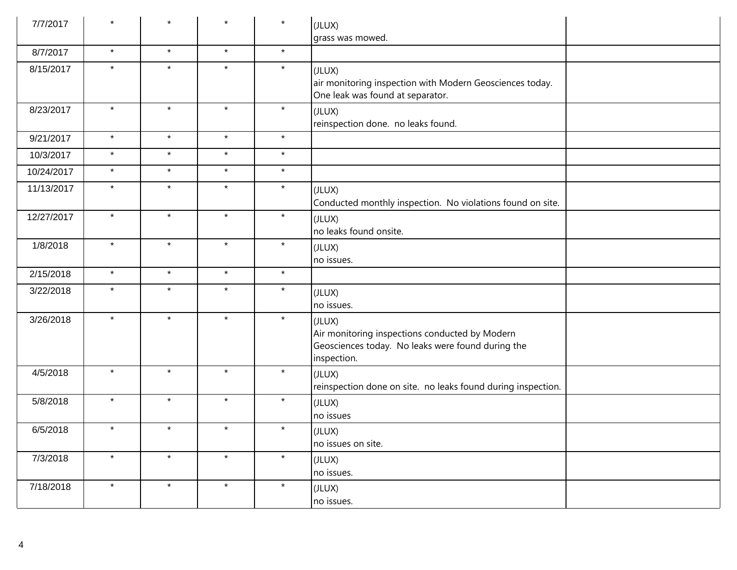| 7/7/2017   | $\star$ | $\star$ | $\star$ | $\star$ | (JLUX)<br>grass was mowed.                                                                                                   |
|------------|---------|---------|---------|---------|------------------------------------------------------------------------------------------------------------------------------|
| 8/7/2017   | $\star$ | $\star$ | $\star$ | $\star$ |                                                                                                                              |
| 8/15/2017  | $\star$ | $\star$ | $\star$ | $\star$ | (JLUX)<br>air monitoring inspection with Modern Geosciences today.<br>One leak was found at separator.                       |
| 8/23/2017  | $\star$ | $\star$ | $\star$ | $\star$ | (JLUX)<br>reinspection done. no leaks found.                                                                                 |
| 9/21/2017  | $\star$ | $\star$ | $\star$ | $\star$ |                                                                                                                              |
| 10/3/2017  | $\star$ | $\star$ | $\star$ | $\star$ |                                                                                                                              |
| 10/24/2017 | $\star$ | $\star$ | $\star$ | $\star$ |                                                                                                                              |
| 11/13/2017 | $\star$ | $\star$ | $\star$ | $\star$ | (JLUX)<br>Conducted monthly inspection. No violations found on site.                                                         |
| 12/27/2017 | $\star$ | $\star$ | $\star$ | $\star$ | (JLUX)<br>no leaks found onsite.                                                                                             |
| 1/8/2018   | $\star$ | $\star$ | $\star$ | $\star$ | (JLUX)<br>no issues.                                                                                                         |
| 2/15/2018  | $\star$ | $\star$ | $\star$ | $\star$ |                                                                                                                              |
| 3/22/2018  | $\star$ | $\star$ | $\star$ | $\star$ | (JLUX)<br>no issues.                                                                                                         |
| 3/26/2018  | $\star$ | $\star$ | $\star$ | $\star$ | (JLUX)<br>Air monitoring inspections conducted by Modern<br>Geosciences today. No leaks were found during the<br>inspection. |
| 4/5/2018   | $\star$ | $\star$ | $\star$ | $\star$ | (JLUX)<br>reinspection done on site. no leaks found during inspection.                                                       |
| 5/8/2018   | $\star$ | $\star$ | $\star$ | $\star$ | (JLUX)<br>no issues                                                                                                          |
| 6/5/2018   | $\star$ | $\star$ | $\star$ | $\star$ | (JLUX)<br>no issues on site.                                                                                                 |
| 7/3/2018   | $\star$ | $\star$ | $\star$ | $\star$ | (JLUX)<br>no issues.                                                                                                         |
| 7/18/2018  | $\star$ | $\star$ | $\star$ | $\star$ | (JLUX)<br>no issues.                                                                                                         |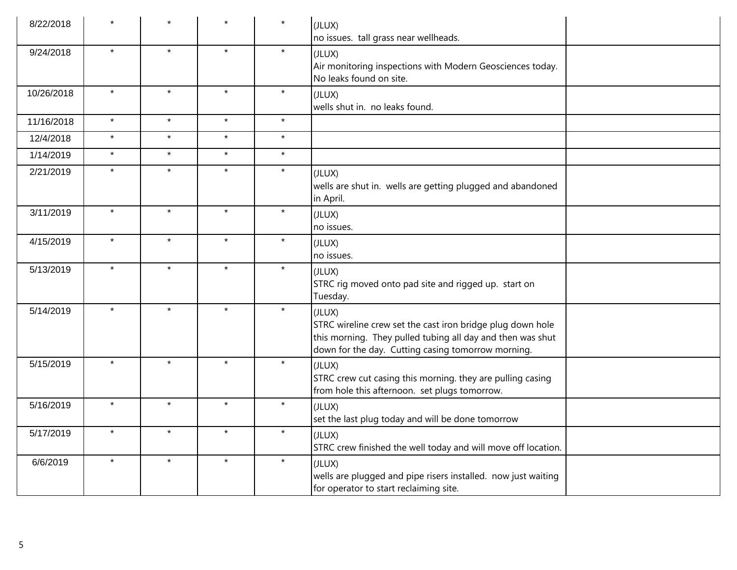| 8/22/2018  |         |         |         | $\star$ | (JLUX)<br>no issues. tall grass near wellheads.                                                                                                                                          |
|------------|---------|---------|---------|---------|------------------------------------------------------------------------------------------------------------------------------------------------------------------------------------------|
| 9/24/2018  | $\star$ | $\star$ | $\star$ | $\star$ | (JLUX)<br>Air monitoring inspections with Modern Geosciences today.<br>No leaks found on site.                                                                                           |
| 10/26/2018 | $\star$ | $\star$ | $\star$ | $\star$ | (JLUX)<br>wells shut in. no leaks found.                                                                                                                                                 |
| 11/16/2018 | $\star$ | $\star$ | $\star$ | $\star$ |                                                                                                                                                                                          |
| 12/4/2018  | $\star$ | $\star$ | $\star$ | $\star$ |                                                                                                                                                                                          |
| 1/14/2019  | $\star$ | $\star$ | $\star$ | $\star$ |                                                                                                                                                                                          |
| 2/21/2019  | $\star$ | $\star$ | $\star$ | $\star$ | (JLUX)<br>wells are shut in. wells are getting plugged and abandoned<br>in April.                                                                                                        |
| 3/11/2019  | $\star$ | $\star$ | $\star$ | $\star$ | (JLUX)<br>no issues.                                                                                                                                                                     |
| 4/15/2019  | $\star$ | $\star$ | $\star$ | $\star$ | (JLUX)<br>no issues.                                                                                                                                                                     |
| 5/13/2019  | $\star$ | $\star$ | $\star$ | $\star$ | (JLUX)<br>STRC rig moved onto pad site and rigged up. start on<br>Tuesday.                                                                                                               |
| 5/14/2019  | $\star$ | $\star$ | $\star$ | $\star$ | (JLUX)<br>STRC wireline crew set the cast iron bridge plug down hole<br>this morning. They pulled tubing all day and then was shut<br>down for the day. Cutting casing tomorrow morning. |
| 5/15/2019  | $\star$ | $\star$ | $\star$ | $\star$ | (JLUX)<br>STRC crew cut casing this morning. they are pulling casing<br>from hole this afternoon. set plugs tomorrow.                                                                    |
| 5/16/2019  | $\star$ | $\star$ | $\star$ | $\star$ | (JLUX)<br>set the last plug today and will be done tomorrow                                                                                                                              |
| 5/17/2019  | $\star$ | $\star$ | $\star$ | $\star$ | (JLUX)<br>STRC crew finished the well today and will move off location.                                                                                                                  |
| 6/6/2019   | $\star$ | $\star$ | $\star$ | $\star$ | (JLUX)<br>wells are plugged and pipe risers installed. now just waiting<br>for operator to start reclaiming site.                                                                        |